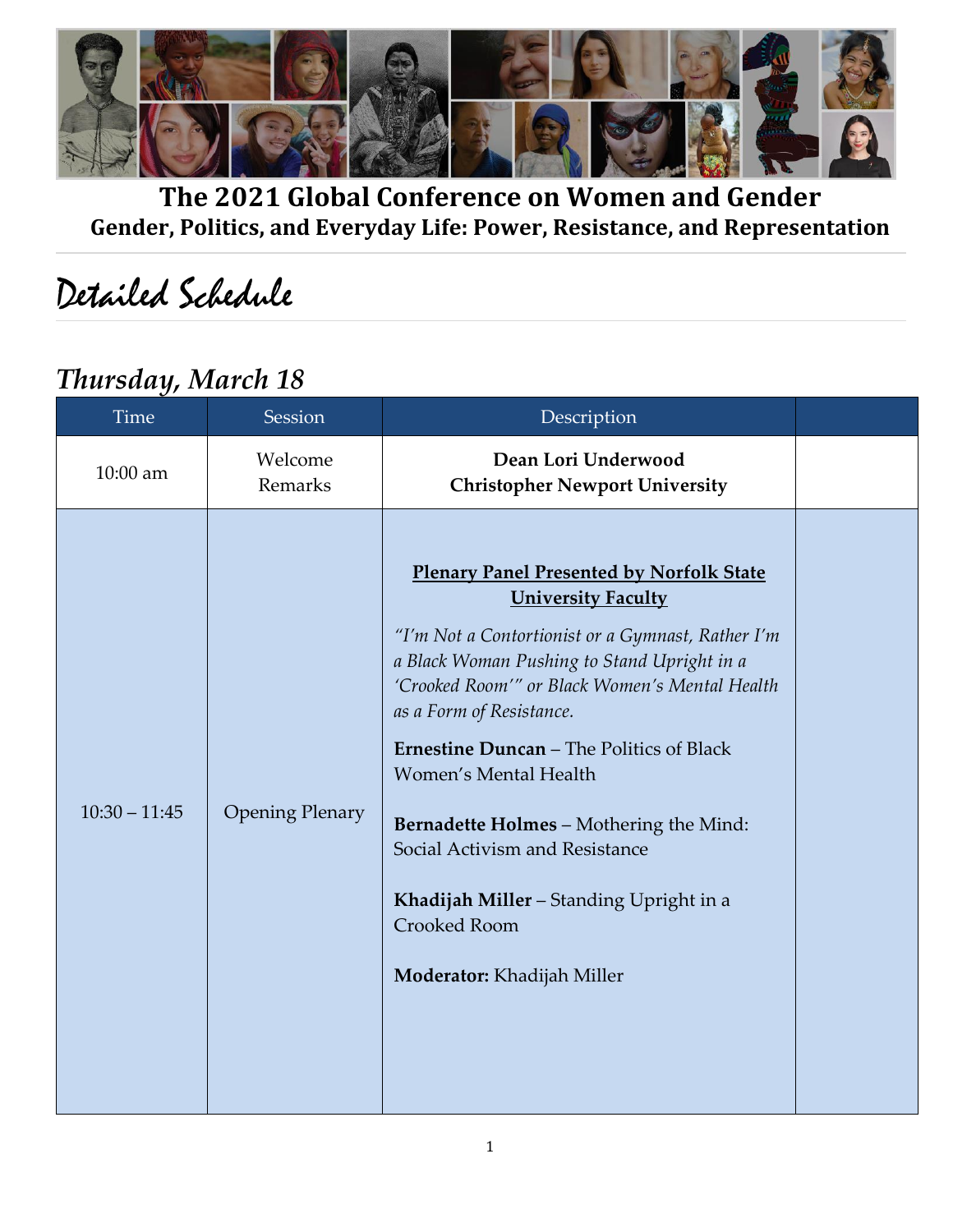

**The 2021 Global Conference on Women and Gender Gender, Politics, and Everyday Life: Power, Resistance, and Representation**

# Detailed Schedule

### *Thursday, March 18*

| <b>Time</b>     | Session                | Description                                                                                                                                                                                                                                                                                                                                                                                                                                                                                                             |  |
|-----------------|------------------------|-------------------------------------------------------------------------------------------------------------------------------------------------------------------------------------------------------------------------------------------------------------------------------------------------------------------------------------------------------------------------------------------------------------------------------------------------------------------------------------------------------------------------|--|
| 10:00 am        | Welcome<br>Remarks     | Dean Lori Underwood<br><b>Christopher Newport University</b>                                                                                                                                                                                                                                                                                                                                                                                                                                                            |  |
| $10:30 - 11:45$ | <b>Opening Plenary</b> | <b>Plenary Panel Presented by Norfolk State</b><br><b>University Faculty</b><br>"I'm Not a Contortionist or a Gymnast, Rather I'm<br>a Black Woman Pushing to Stand Upright in a<br>'Crooked Room'" or Black Women's Mental Health<br>as a Form of Resistance.<br><b>Ernestine Duncan</b> - The Politics of Black<br>Women's Mental Health<br><b>Bernadette Holmes - Mothering the Mind:</b><br>Social Activism and Resistance<br>Khadijah Miller - Standing Upright in a<br>Crooked Room<br>Moderator: Khadijah Miller |  |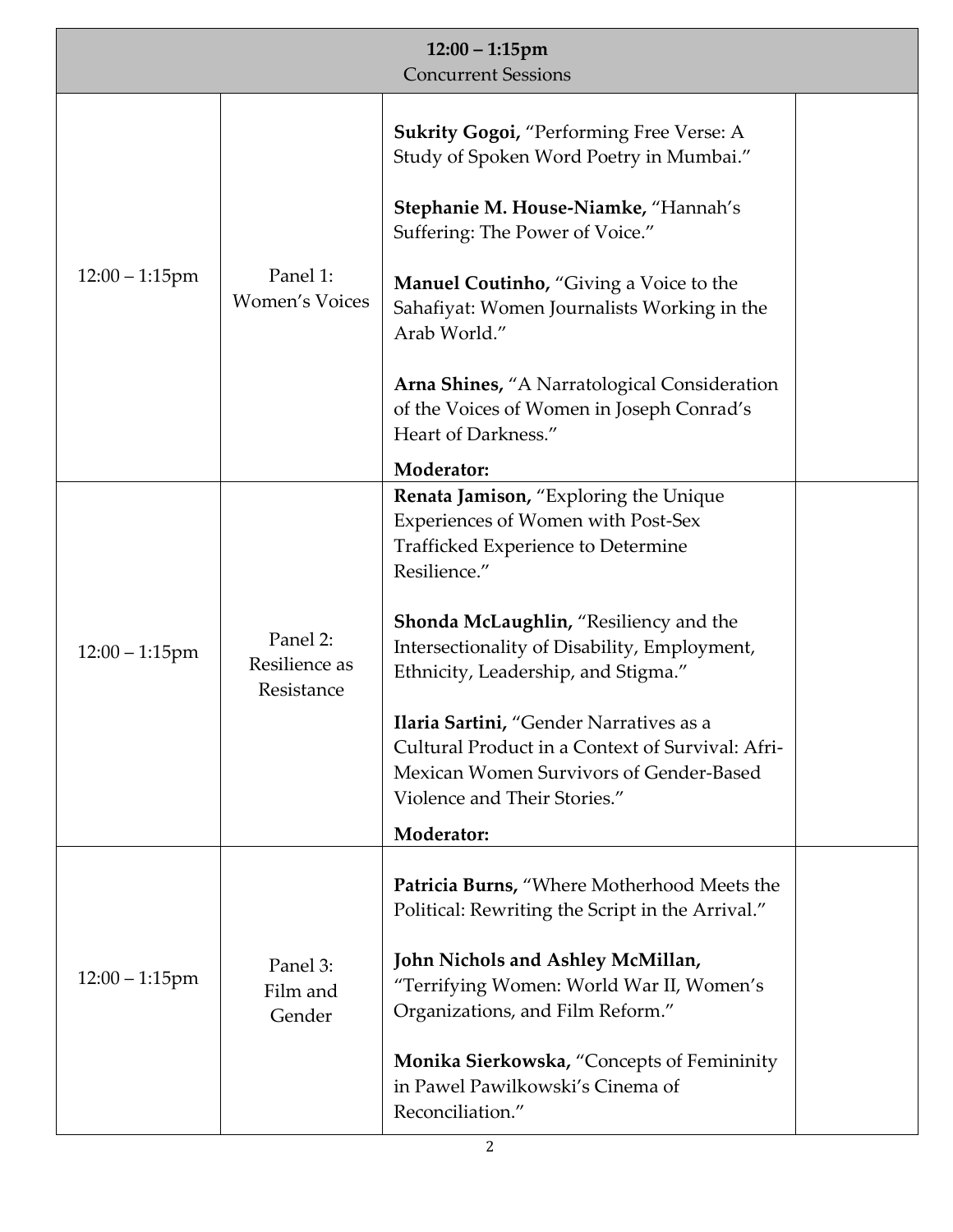| $12:00 - 1:15$ pm<br><b>Concurrent Sessions</b> |                                         |                                                                                                                                                                                                                                                                                                                                                                                                                                                            |  |
|-------------------------------------------------|-----------------------------------------|------------------------------------------------------------------------------------------------------------------------------------------------------------------------------------------------------------------------------------------------------------------------------------------------------------------------------------------------------------------------------------------------------------------------------------------------------------|--|
| $12:00 - 1:15$ pm                               | Panel 1:<br><b>Women's Voices</b>       | <b>Sukrity Gogoi, "Performing Free Verse: A</b><br>Study of Spoken Word Poetry in Mumbai."<br>Stephanie M. House-Niamke, "Hannah's<br>Suffering: The Power of Voice."<br><b>Manuel Coutinho, "Giving a Voice to the</b><br>Sahafiyat: Women Journalists Working in the<br>Arab World."<br>Arna Shines, "A Narratological Consideration<br>of the Voices of Women in Joseph Conrad's<br>Heart of Darkness."<br>Moderator:                                   |  |
| $12:00 - 1:15$ pm                               | Panel 2:<br>Resilience as<br>Resistance | Renata Jamison, "Exploring the Unique<br>Experiences of Women with Post-Sex<br>Trafficked Experience to Determine<br>Resilience."<br>Shonda McLaughlin, "Resiliency and the<br>Intersectionality of Disability, Employment,<br>Ethnicity, Leadership, and Stigma."<br>Ilaria Sartini, "Gender Narratives as a<br>Cultural Product in a Context of Survival: Afri-<br>Mexican Women Survivors of Gender-Based<br>Violence and Their Stories."<br>Moderator: |  |
| $12:00 - 1:15$ pm                               | Panel 3:<br>Film and<br>Gender          | Patricia Burns, "Where Motherhood Meets the<br>Political: Rewriting the Script in the Arrival."<br>John Nichols and Ashley McMillan,<br>"Terrifying Women: World War II, Women's<br>Organizations, and Film Reform."<br>Monika Sierkowska, "Concepts of Femininity<br>in Pawel Pawilkowski's Cinema of<br>Reconciliation."                                                                                                                                 |  |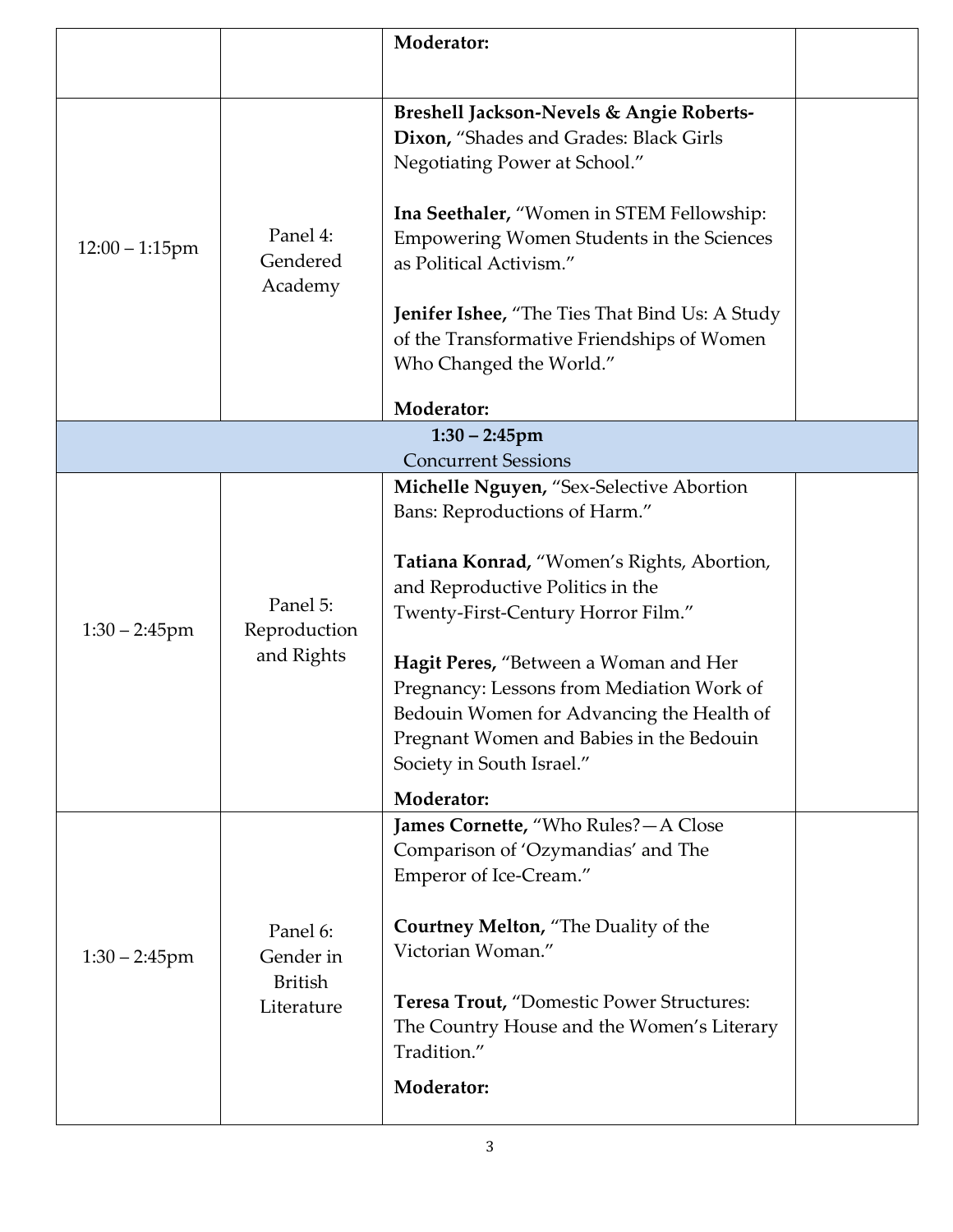|                   |                                                       | Moderator:                                                                                                                                                                                                                                                                                                                                                                                                                  |  |
|-------------------|-------------------------------------------------------|-----------------------------------------------------------------------------------------------------------------------------------------------------------------------------------------------------------------------------------------------------------------------------------------------------------------------------------------------------------------------------------------------------------------------------|--|
| $12:00 - 1:15$ pm | Panel 4:<br>Gendered<br>Academy                       | <b>Breshell Jackson-Nevels &amp; Angie Roberts-</b><br>Dixon, "Shades and Grades: Black Girls<br>Negotiating Power at School."<br>Ina Seethaler, "Women in STEM Fellowship:<br>Empowering Women Students in the Sciences<br>as Political Activism."<br><b>Jenifer Ishee,</b> "The Ties That Bind Us: A Study<br>of the Transformative Friendships of Women<br>Who Changed the World."                                       |  |
|                   |                                                       | Moderator:                                                                                                                                                                                                                                                                                                                                                                                                                  |  |
|                   |                                                       | $1:30 - 2:45$ pm                                                                                                                                                                                                                                                                                                                                                                                                            |  |
|                   |                                                       | <b>Concurrent Sessions</b>                                                                                                                                                                                                                                                                                                                                                                                                  |  |
| $1:30 - 2:45$ pm  | Panel 5:<br>Reproduction<br>and Rights                | Michelle Nguyen, "Sex-Selective Abortion<br>Bans: Reproductions of Harm."<br>Tatiana Konrad, "Women's Rights, Abortion,<br>and Reproductive Politics in the<br>Twenty-First-Century Horror Film."<br>Hagit Peres, "Between a Woman and Her<br>Pregnancy: Lessons from Mediation Work of<br>Bedouin Women for Advancing the Health of<br>Pregnant Women and Babies in the Bedouin<br>Society in South Israel."<br>Moderator: |  |
| $1:30 - 2:45$ pm  | Panel 6:<br>Gender in<br><b>British</b><br>Literature | James Cornette, "Who Rules? - A Close<br>Comparison of 'Ozymandias' and The<br>Emperor of Ice-Cream."<br><b>Courtney Melton, "The Duality of the</b><br>Victorian Woman."<br>Teresa Trout, "Domestic Power Structures:<br>The Country House and the Women's Literary<br>Tradition."<br>Moderator:                                                                                                                           |  |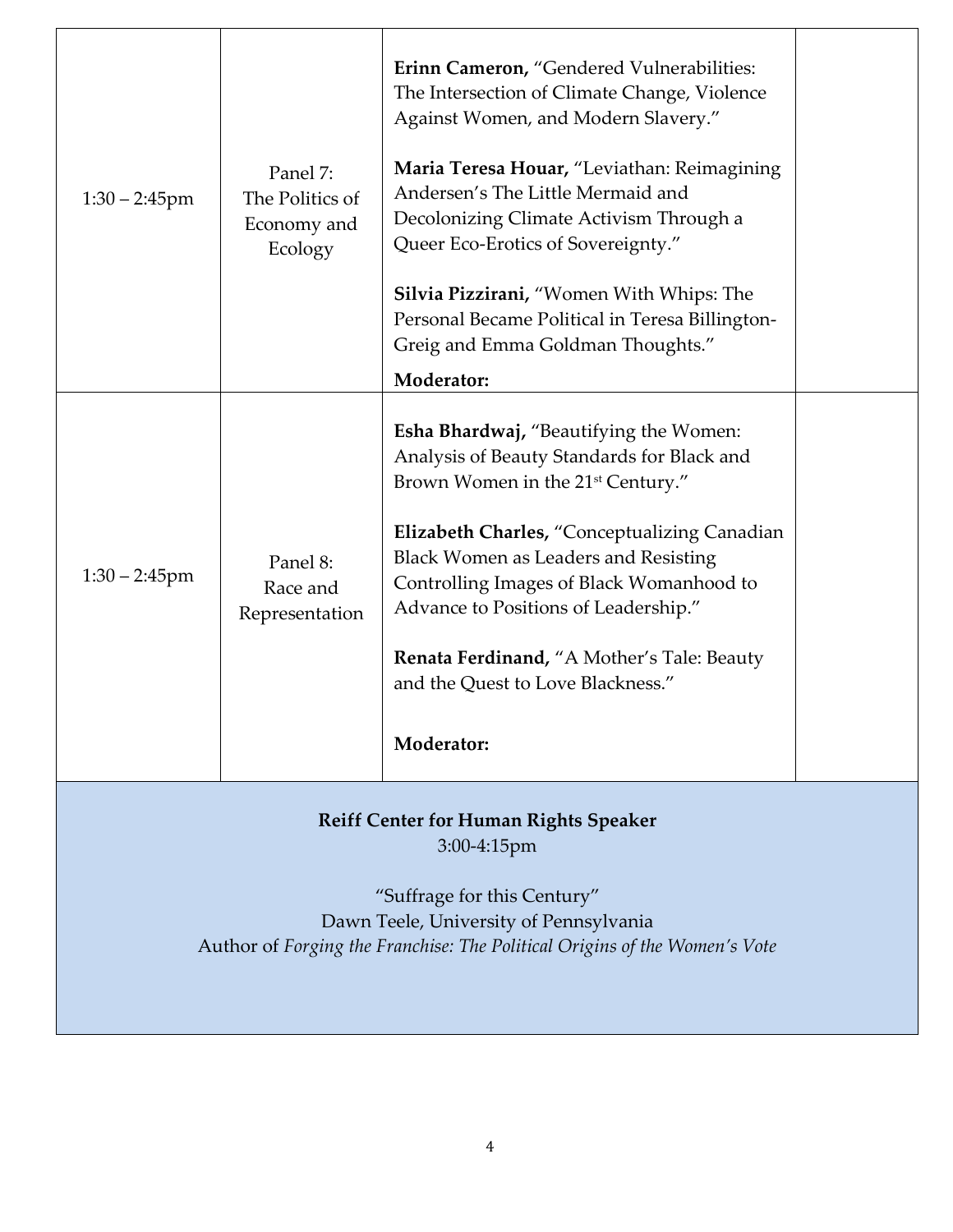| $1:30 - 2:45$ pm                                                                                                                                                                                                      | Panel 7:<br>The Politics of<br>Economy and<br>Ecology | Erinn Cameron, "Gendered Vulnerabilities:<br>The Intersection of Climate Change, Violence<br>Against Women, and Modern Slavery."<br>Maria Teresa Houar, "Leviathan: Reimagining<br>Andersen's The Little Mermaid and<br>Decolonizing Climate Activism Through a<br>Queer Eco-Erotics of Sovereignty."<br><b>Silvia Pizzirani, "Women With Whips: The</b><br>Personal Became Political in Teresa Billington-<br>Greig and Emma Goldman Thoughts."<br><b>Moderator:</b> |  |
|-----------------------------------------------------------------------------------------------------------------------------------------------------------------------------------------------------------------------|-------------------------------------------------------|-----------------------------------------------------------------------------------------------------------------------------------------------------------------------------------------------------------------------------------------------------------------------------------------------------------------------------------------------------------------------------------------------------------------------------------------------------------------------|--|
| $1:30 - 2:45$ pm                                                                                                                                                                                                      | Panel 8:<br>Race and<br>Representation                | Esha Bhardwaj, "Beautifying the Women:<br>Analysis of Beauty Standards for Black and<br>Brown Women in the 21 <sup>st</sup> Century."<br>Elizabeth Charles, "Conceptualizing Canadian<br><b>Black Women as Leaders and Resisting</b><br>Controlling Images of Black Womanhood to<br>Advance to Positions of Leadership."<br><b>Renata Ferdinand, "A Mother's Tale: Beauty</b><br>and the Quest to Love Blackness."<br><b>Moderator:</b>                               |  |
| <b>Reiff Center for Human Rights Speaker</b><br>$3:00-4:15$ pm<br>"Suffrage for this Century"<br>Dawn Teele, University of Pennsylvania<br>Author of Forging the Franchise: The Political Origins of the Women's Vote |                                                       |                                                                                                                                                                                                                                                                                                                                                                                                                                                                       |  |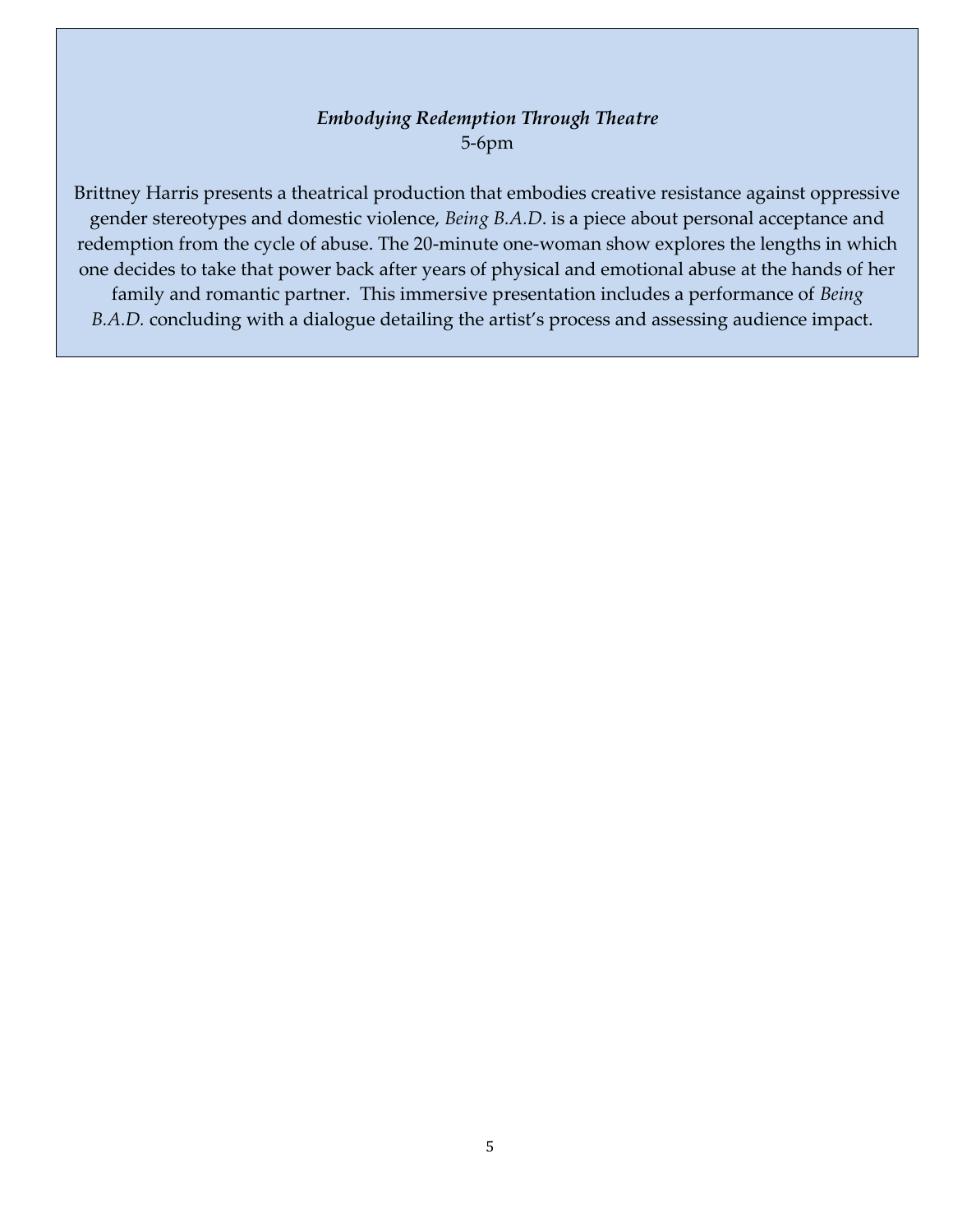#### *Embodying Redemption Through Theatre* 5-6pm

Brittney Harris presents a theatrical production that embodies creative resistance against oppressive gender stereotypes and domestic violence, *Being B.A.D*. is a piece about personal acceptance and redemption from the cycle of abuse. The 20-minute one-woman show explores the lengths in which one decides to take that power back after years of physical and emotional abuse at the hands of her family and romantic partner. This immersive presentation includes a performance of *Being B.A.D.* concluding with a dialogue detailing the artist's process and assessing audience impact.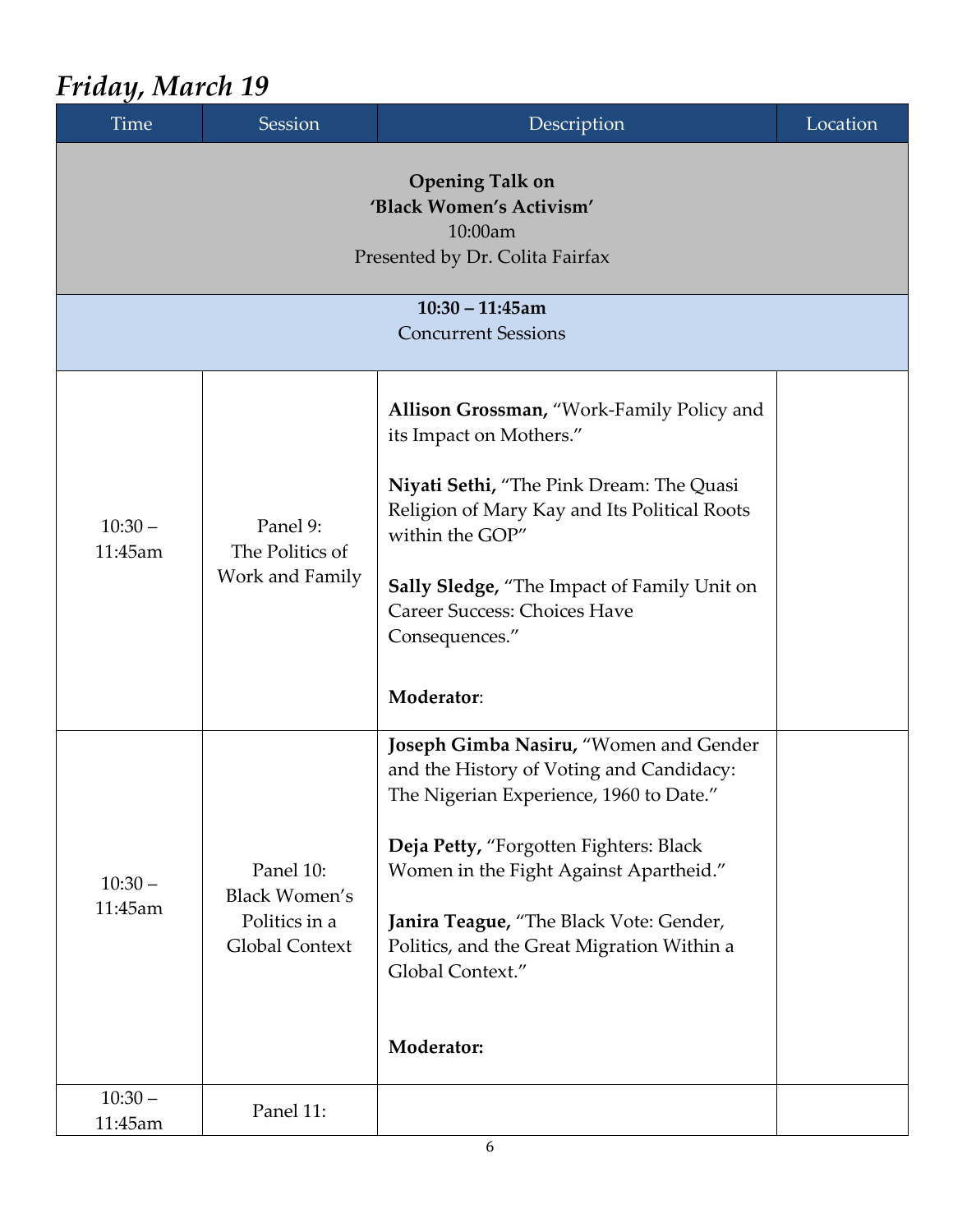## *Friday, March 19*

| <b>Time</b>          | Session                                                                                          | Description                                                                                                                                                                                                                                                                                                                                  | Location |  |  |
|----------------------|--------------------------------------------------------------------------------------------------|----------------------------------------------------------------------------------------------------------------------------------------------------------------------------------------------------------------------------------------------------------------------------------------------------------------------------------------------|----------|--|--|
|                      | <b>Opening Talk on</b><br>'Black Women's Activism'<br>10:00am<br>Presented by Dr. Colita Fairfax |                                                                                                                                                                                                                                                                                                                                              |          |  |  |
|                      |                                                                                                  | $10:30 - 11:45$ am<br><b>Concurrent Sessions</b>                                                                                                                                                                                                                                                                                             |          |  |  |
| $10:30 -$<br>11:45am | Panel 9:<br>The Politics of<br>Work and Family                                                   | Allison Grossman, "Work-Family Policy and<br>its Impact on Mothers."<br>Niyati Sethi, "The Pink Dream: The Quasi<br>Religion of Mary Kay and Its Political Roots<br>within the GOP"<br><b>Sally Sledge, "The Impact of Family Unit on</b><br><b>Career Success: Choices Have</b><br>Consequences."<br>Moderator:                             |          |  |  |
| $10:30 -$<br>11:45am | Panel 10:<br><b>Black Women's</b><br>Politics in a<br>Global Context                             | Joseph Gimba Nasiru, "Women and Gender<br>and the History of Voting and Candidacy:<br>The Nigerian Experience, 1960 to Date."<br>Deja Petty, "Forgotten Fighters: Black<br>Women in the Fight Against Apartheid."<br>Janira Teague, "The Black Vote: Gender,<br>Politics, and the Great Migration Within a<br>Global Context."<br>Moderator: |          |  |  |
| $10:30 -$<br>11:45am | Panel 11:                                                                                        |                                                                                                                                                                                                                                                                                                                                              |          |  |  |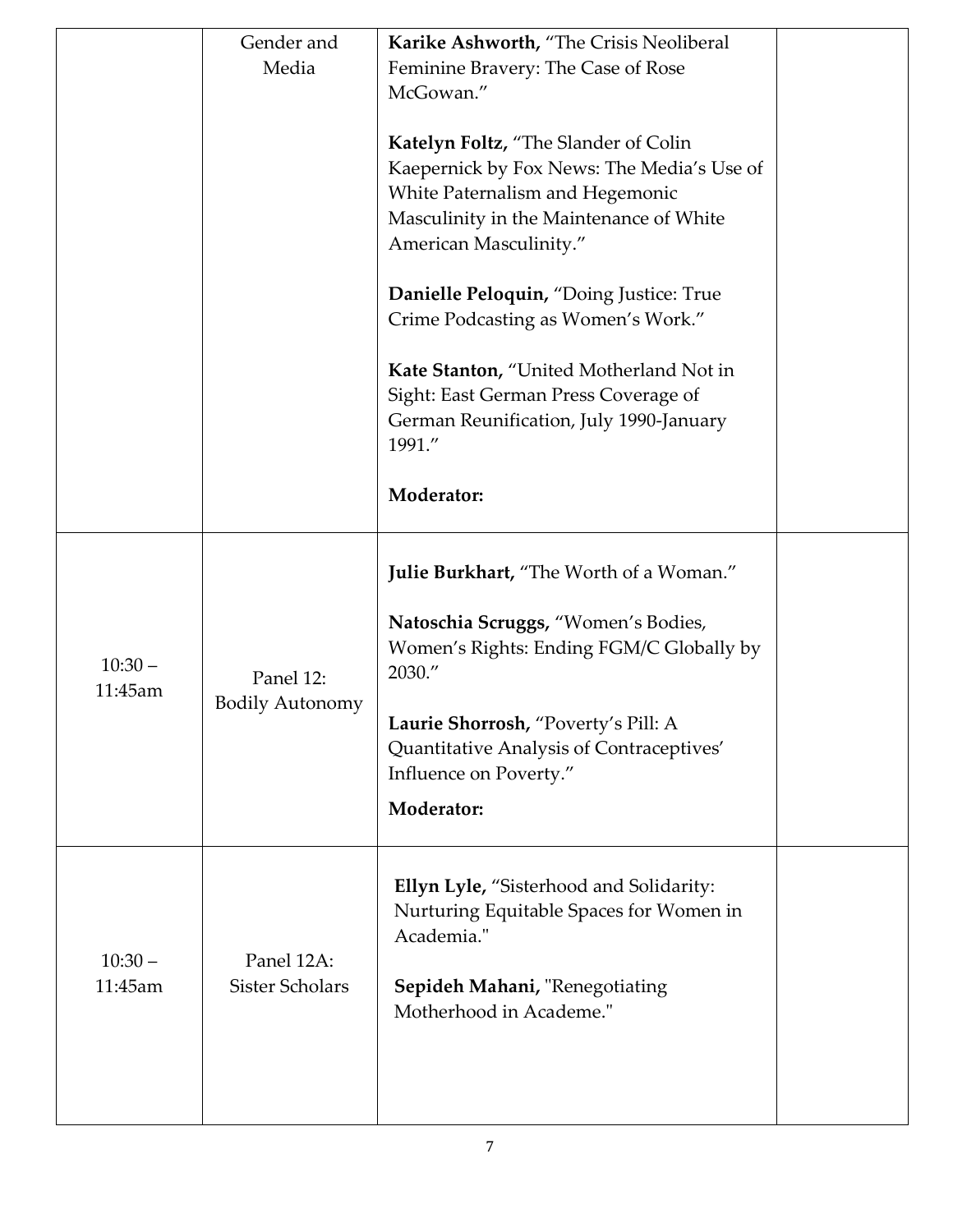|                      | Gender and<br>Media                  | Karike Ashworth, "The Crisis Neoliberal<br>Feminine Bravery: The Case of Rose<br>McGowan."<br>Katelyn Foltz, "The Slander of Colin<br>Kaepernick by Fox News: The Media's Use of<br>White Paternalism and Hegemonic<br>Masculinity in the Maintenance of White<br>American Masculinity."<br>Danielle Peloquin, "Doing Justice: True<br>Crime Podcasting as Women's Work."<br>Kate Stanton, "United Motherland Not in<br>Sight: East German Press Coverage of<br>German Reunification, July 1990-January<br>1991."<br>Moderator: |  |
|----------------------|--------------------------------------|---------------------------------------------------------------------------------------------------------------------------------------------------------------------------------------------------------------------------------------------------------------------------------------------------------------------------------------------------------------------------------------------------------------------------------------------------------------------------------------------------------------------------------|--|
| $10:30 -$<br>11:45am | Panel 12:<br><b>Bodily Autonomy</b>  | Julie Burkhart, "The Worth of a Woman."<br>Natoschia Scruggs, "Women's Bodies,<br>Women's Rights: Ending FGM/C Globally by<br>2030."<br>Laurie Shorrosh, "Poverty's Pill: A<br>Quantitative Analysis of Contraceptives'<br>Influence on Poverty."<br>Moderator:                                                                                                                                                                                                                                                                 |  |
| $10:30 -$<br>11:45am | Panel 12A:<br><b>Sister Scholars</b> | Ellyn Lyle, "Sisterhood and Solidarity:<br>Nurturing Equitable Spaces for Women in<br>Academia."<br>Sepideh Mahani, "Renegotiating<br>Motherhood in Academe."                                                                                                                                                                                                                                                                                                                                                                   |  |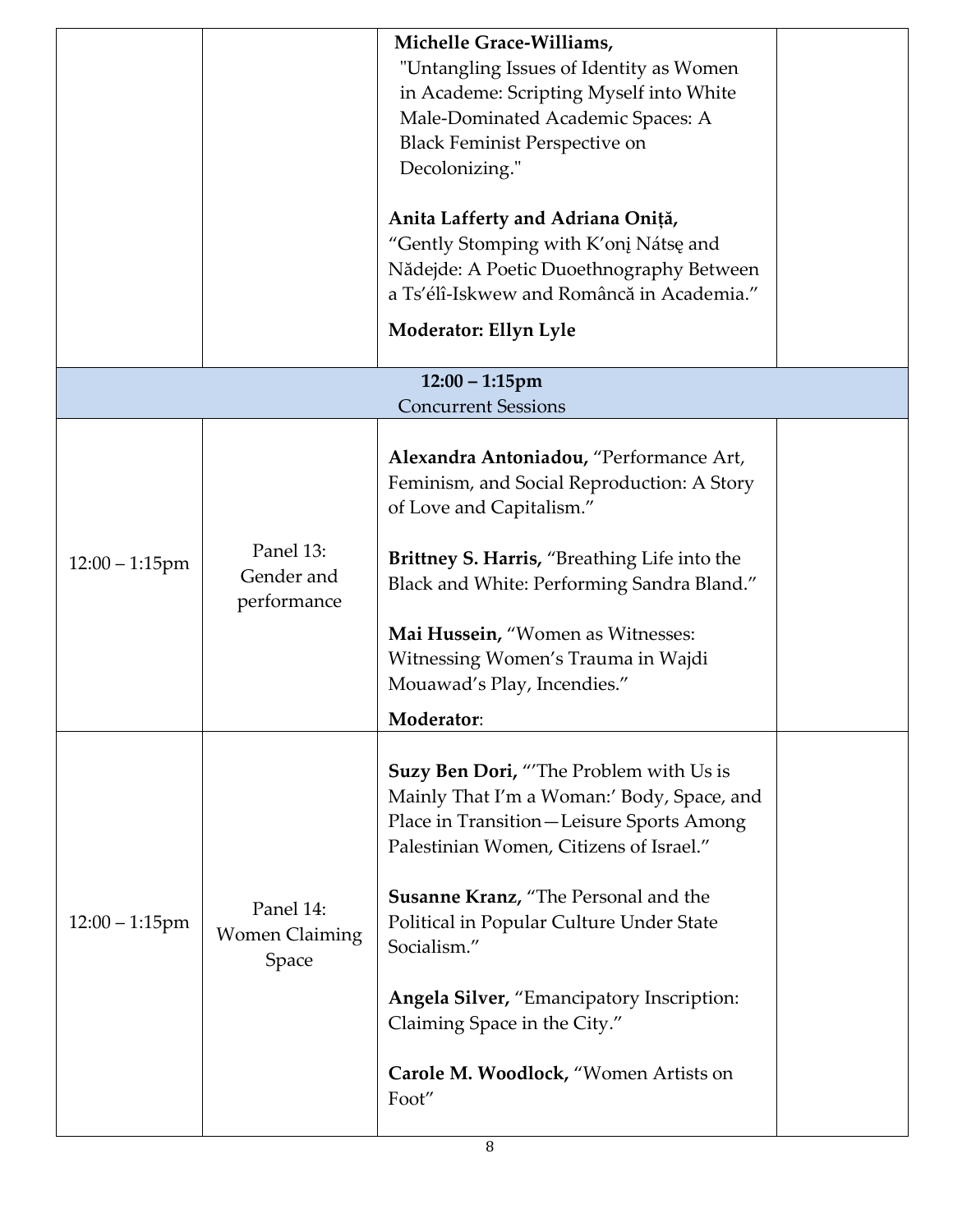|                   |                                             | Michelle Grace-Williams,<br>"Untangling Issues of Identity as Women<br>in Academe: Scripting Myself into White<br>Male-Dominated Academic Spaces: A<br><b>Black Feminist Perspective on</b><br>Decolonizing."<br>Anita Lafferty and Adriana Oniță,<br>"Gently Stomping with K'onį Nátsę and<br>Nădejde: A Poetic Duoethnography Between                                                                                            |  |
|-------------------|---------------------------------------------|------------------------------------------------------------------------------------------------------------------------------------------------------------------------------------------------------------------------------------------------------------------------------------------------------------------------------------------------------------------------------------------------------------------------------------|--|
|                   |                                             | a Ts'élî-Iskwew and Româncă in Academia."<br>Moderator: Ellyn Lyle                                                                                                                                                                                                                                                                                                                                                                 |  |
|                   |                                             | $12:00 - 1:15$ pm<br><b>Concurrent Sessions</b>                                                                                                                                                                                                                                                                                                                                                                                    |  |
| $12:00 - 1:15$ pm | Panel 13:<br>Gender and<br>performance      | Alexandra Antoniadou, "Performance Art,<br>Feminism, and Social Reproduction: A Story<br>of Love and Capitalism."<br><b>Brittney S. Harris, "Breathing Life into the</b><br>Black and White: Performing Sandra Bland."<br>Mai Hussein, "Women as Witnesses:<br>Witnessing Women's Trauma in Wajdi<br>Mouawad's Play, Incendies."<br>Moderator:                                                                                     |  |
| $12:00 - 1:15$ pm | Panel 14:<br><b>Women Claiming</b><br>Space | <b>Suzy Ben Dori, "The Problem with Us is</b><br>Mainly That I'm a Woman:' Body, Space, and<br>Place in Transition-Leisure Sports Among<br>Palestinian Women, Citizens of Israel."<br><b>Susanne Kranz, "The Personal and the</b><br>Political in Popular Culture Under State<br>Socialism."<br><b>Angela Silver, "Emancipatory Inscription:</b><br>Claiming Space in the City."<br>Carole M. Woodlock, "Women Artists on<br>Foot" |  |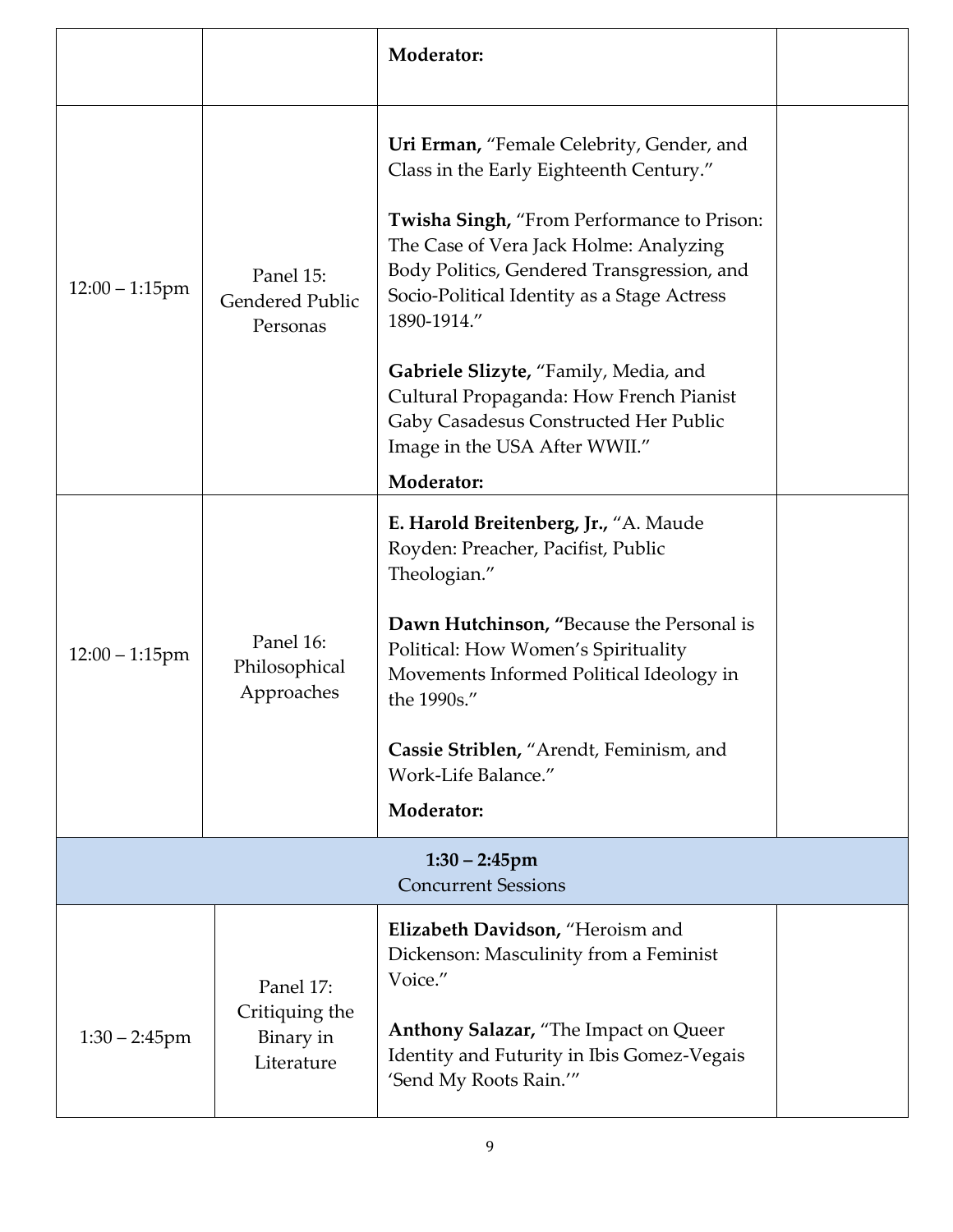|                                                |                                                        | Moderator:                                                                                                                                                                                                                                                                                                                                                                                                                                                           |  |
|------------------------------------------------|--------------------------------------------------------|----------------------------------------------------------------------------------------------------------------------------------------------------------------------------------------------------------------------------------------------------------------------------------------------------------------------------------------------------------------------------------------------------------------------------------------------------------------------|--|
| $12:00 - 1:15$ pm                              | Panel 15:<br><b>Gendered Public</b><br>Personas        | Uri Erman, "Female Celebrity, Gender, and<br>Class in the Early Eighteenth Century."<br>Twisha Singh, "From Performance to Prison:<br>The Case of Vera Jack Holme: Analyzing<br>Body Politics, Gendered Transgression, and<br>Socio-Political Identity as a Stage Actress<br>1890-1914."<br>Gabriele Slizyte, "Family, Media, and<br>Cultural Propaganda: How French Pianist<br>Gaby Casadesus Constructed Her Public<br>Image in the USA After WWII."<br>Moderator: |  |
| $12:00 - 1:15$ pm                              | Panel 16:<br>Philosophical<br>Approaches               | E. Harold Breitenberg, Jr., "A. Maude<br>Royden: Preacher, Pacifist, Public<br>Theologian."<br>Dawn Hutchinson, "Because the Personal is<br>Political: How Women's Spirituality<br>Movements Informed Political Ideology in<br>the 1990s."<br>Cassie Striblen, "Arendt, Feminism, and<br>Work-Life Balance."<br>Moderator:                                                                                                                                           |  |
| $1:30 - 2:45$ pm<br><b>Concurrent Sessions</b> |                                                        |                                                                                                                                                                                                                                                                                                                                                                                                                                                                      |  |
| $1:30 - 2:45$ pm                               | Panel 17:<br>Critiquing the<br>Binary in<br>Literature | Elizabeth Davidson, "Heroism and<br>Dickenson: Masculinity from a Feminist<br>Voice."<br>Anthony Salazar, "The Impact on Queer<br>Identity and Futurity in Ibis Gomez-Vegais<br>'Send My Roots Rain.'"                                                                                                                                                                                                                                                               |  |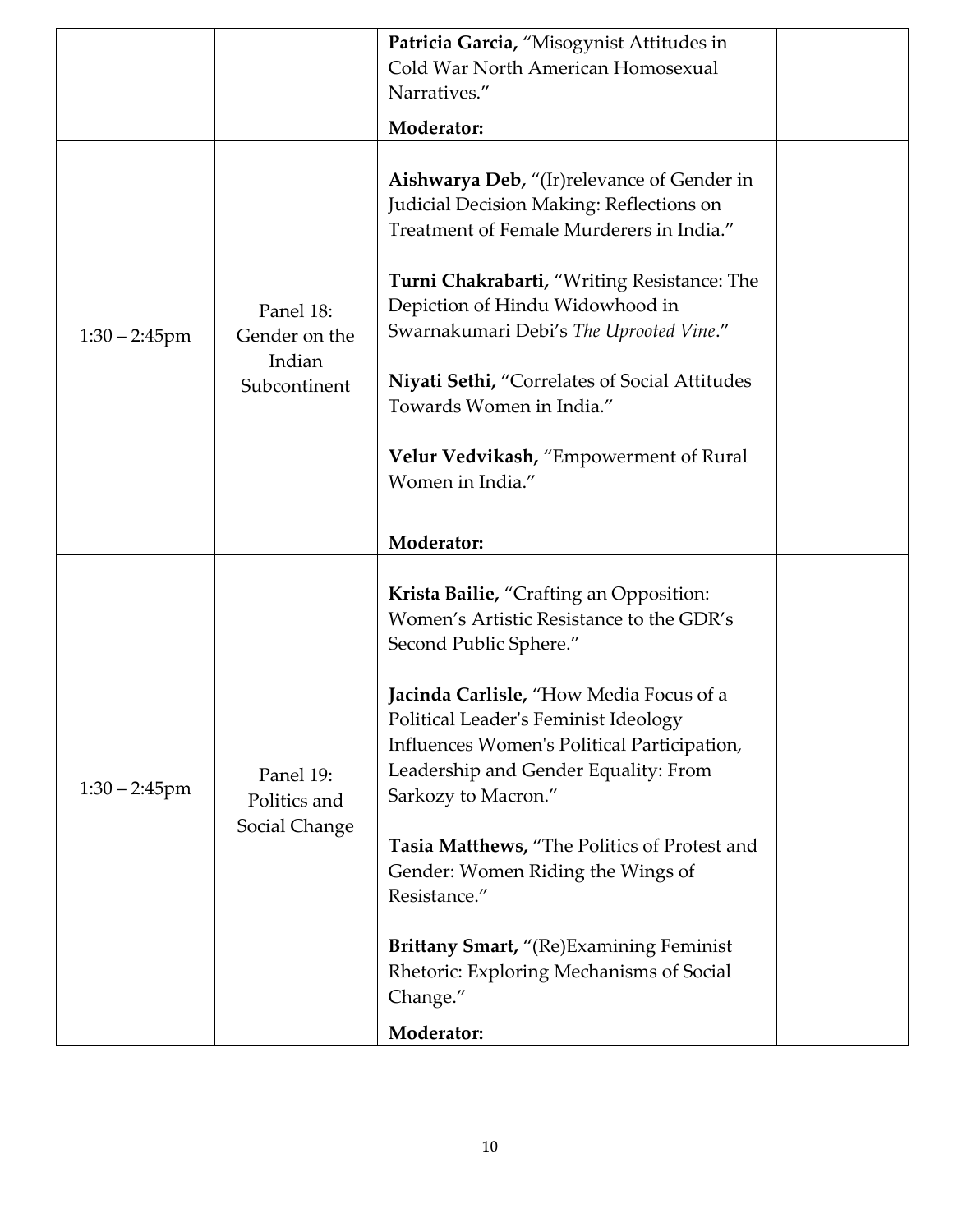|                  |                                                      | Patricia Garcia, "Misogynist Attitudes in<br>Cold War North American Homosexual                                                                                                                                                                                                                                                                                                                                                                                                                                                              |  |
|------------------|------------------------------------------------------|----------------------------------------------------------------------------------------------------------------------------------------------------------------------------------------------------------------------------------------------------------------------------------------------------------------------------------------------------------------------------------------------------------------------------------------------------------------------------------------------------------------------------------------------|--|
|                  |                                                      | Narratives."                                                                                                                                                                                                                                                                                                                                                                                                                                                                                                                                 |  |
|                  |                                                      | Moderator:                                                                                                                                                                                                                                                                                                                                                                                                                                                                                                                                   |  |
| $1:30 - 2:45$ pm | Panel 18:<br>Gender on the<br>Indian<br>Subcontinent | <b>Aishwarya Deb, "</b> (Ir) relevance of Gender in<br>Judicial Decision Making: Reflections on<br>Treatment of Female Murderers in India."<br>Turni Chakrabarti, "Writing Resistance: The<br>Depiction of Hindu Widowhood in<br>Swarnakumari Debi's The Uprooted Vine."<br>Niyati Sethi, "Correlates of Social Attitudes<br>Towards Women in India."<br>Velur Vedvikash, "Empowerment of Rural<br>Women in India."                                                                                                                          |  |
|                  |                                                      | Moderator:                                                                                                                                                                                                                                                                                                                                                                                                                                                                                                                                   |  |
| $1:30 - 2:45$ pm | Panel 19:<br>Politics and<br>Social Change           | Krista Bailie, "Crafting an Opposition:<br>Women's Artistic Resistance to the GDR's<br>Second Public Sphere."<br>Jacinda Carlisle, "How Media Focus of a<br>Political Leader's Feminist Ideology<br>Influences Women's Political Participation,<br>Leadership and Gender Equality: From<br>Sarkozy to Macron."<br>Tasia Matthews, "The Politics of Protest and<br>Gender: Women Riding the Wings of<br>Resistance."<br><b>Brittany Smart,</b> "(Re) Examining Feminist<br>Rhetoric: Exploring Mechanisms of Social<br>Change."<br>Moderator: |  |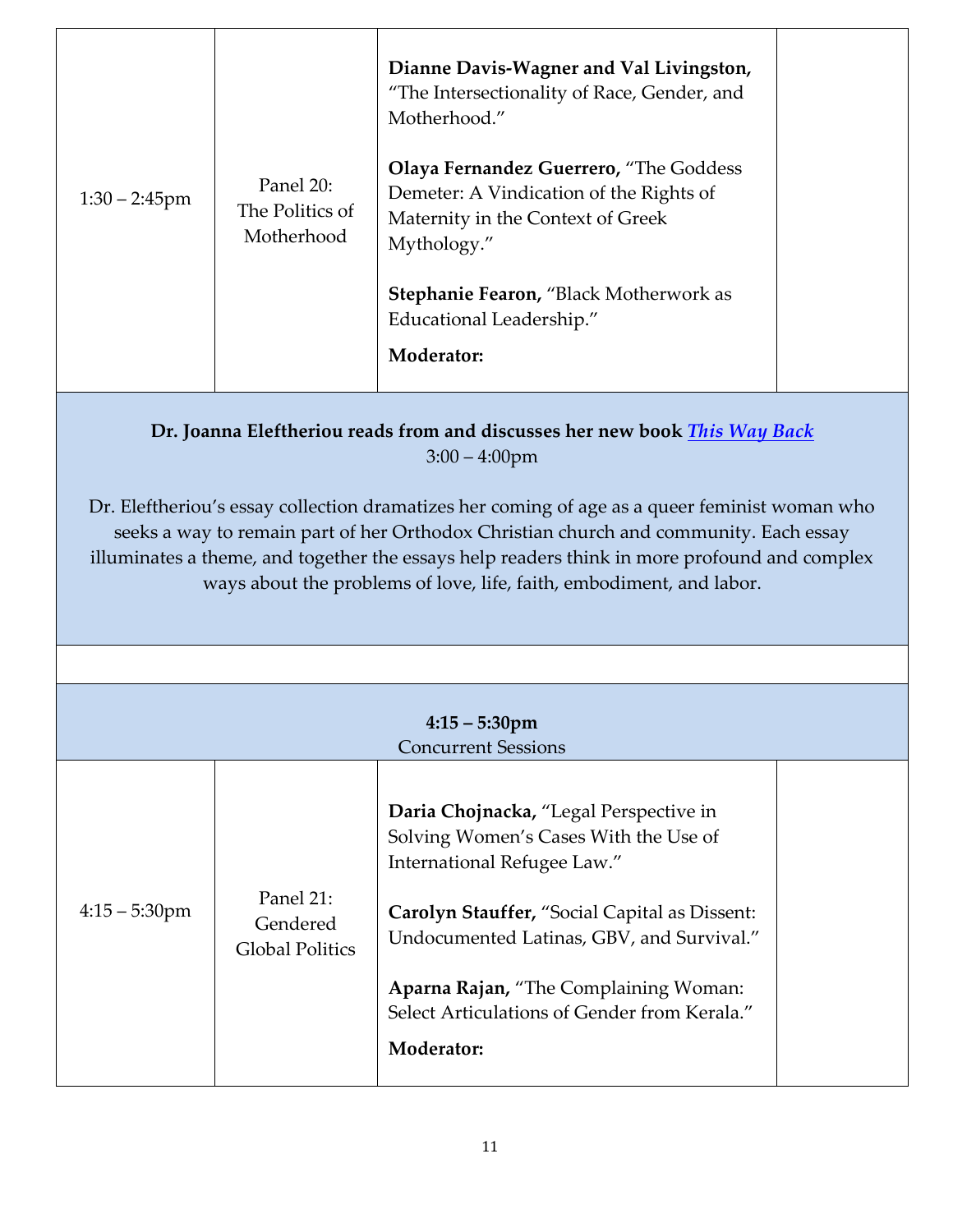| $1:30 - 2:45$ pm | Panel 20:<br>The Politics of<br>Motherhood | Dianne Davis-Wagner and Val Livingston,<br>"The Intersectionality of Race, Gender, and<br>Motherhood."<br><b>Olaya Fernandez Guerrero, "The Goddess"</b><br>Demeter: A Vindication of the Rights of<br>Maternity in the Context of Greek<br>Mythology."<br>Stephanie Fearon, "Black Motherwork as<br>Educational Leadership."<br>Moderator: |  |
|------------------|--------------------------------------------|---------------------------------------------------------------------------------------------------------------------------------------------------------------------------------------------------------------------------------------------------------------------------------------------------------------------------------------------|--|
|------------------|--------------------------------------------|---------------------------------------------------------------------------------------------------------------------------------------------------------------------------------------------------------------------------------------------------------------------------------------------------------------------------------------------|--|

#### **Dr. Joanna Eleftheriou reads from and discusses her new book** *[This Way Back](https://www.joannaeleftheriou.com/)* 3:00 – 4:00pm

Dr. Eleftheriou's essay collection dramatizes her coming of age as a queer feminist woman who seeks a way to remain part of her Orthodox Christian church and community. Each essay illuminates a theme, and together the essays help readers think in more profound and complex ways about the problems of love, life, faith, embodiment, and labor.

| $4:15 - 5:30$ pm<br><b>Concurrent Sessions</b> |                                                 |                                                                                                                                                                                                                                                                                                                     |  |  |
|------------------------------------------------|-------------------------------------------------|---------------------------------------------------------------------------------------------------------------------------------------------------------------------------------------------------------------------------------------------------------------------------------------------------------------------|--|--|
| $4:15 - 5:30$ pm                               | Panel 21:<br>Gendered<br><b>Global Politics</b> | Daria Chojnacka, "Legal Perspective in<br>Solving Women's Cases With the Use of<br>International Refugee Law."<br>Carolyn Stauffer, "Social Capital as Dissent:<br>Undocumented Latinas, GBV, and Survival."<br>Aparna Rajan, "The Complaining Woman:<br>Select Articulations of Gender from Kerala."<br>Moderator: |  |  |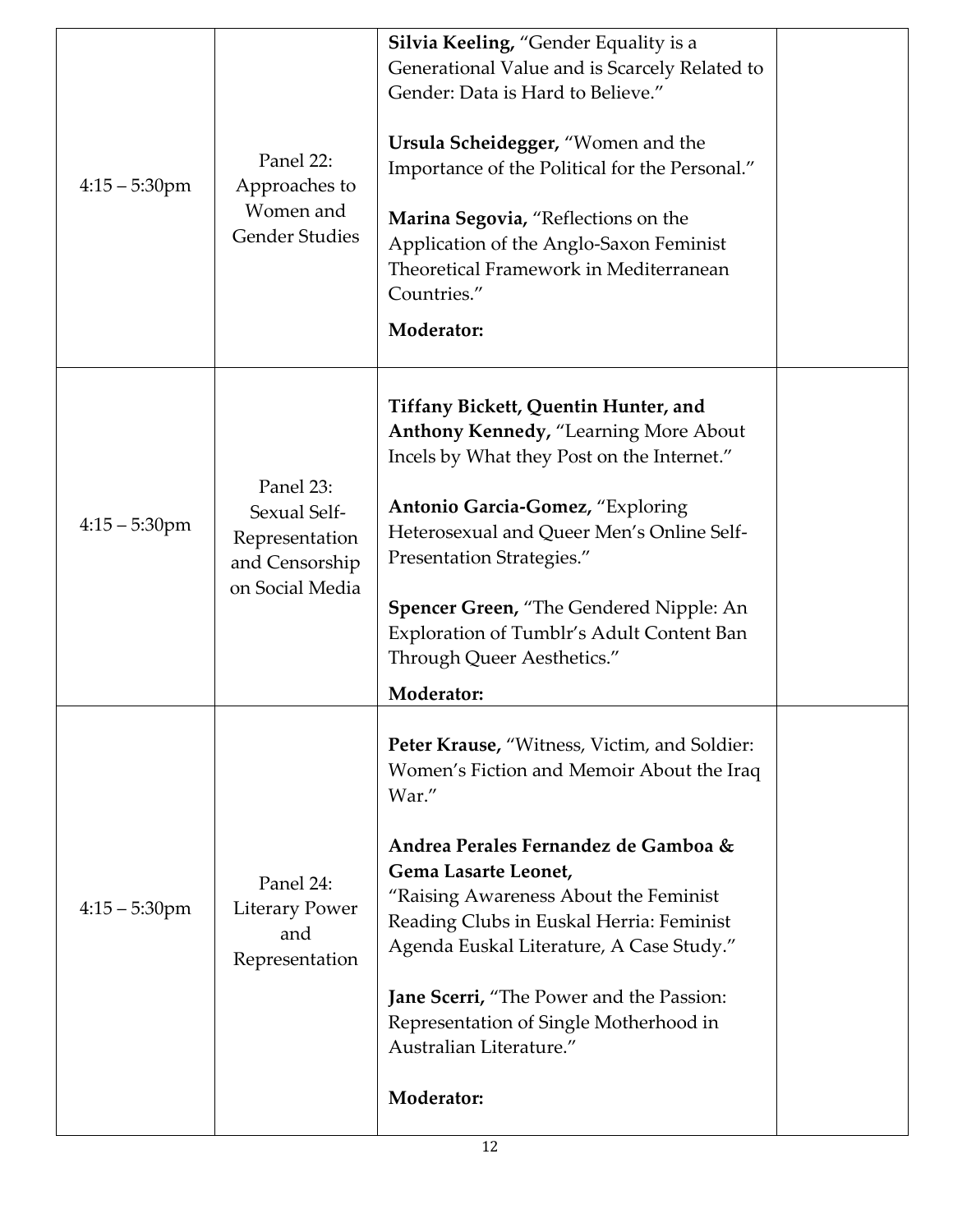| $4:15 - 5:30$ pm | Panel 22:<br>Approaches to<br>Women and<br><b>Gender Studies</b>                 | Silvia Keeling, "Gender Equality is a<br>Generational Value and is Scarcely Related to<br>Gender: Data is Hard to Believe."<br>Ursula Scheidegger, "Women and the<br>Importance of the Political for the Personal."<br>Marina Segovia, "Reflections on the<br>Application of the Anglo-Saxon Feminist<br>Theoretical Framework in Mediterranean<br>Countries."<br>Moderator:                                                                     |  |
|------------------|----------------------------------------------------------------------------------|--------------------------------------------------------------------------------------------------------------------------------------------------------------------------------------------------------------------------------------------------------------------------------------------------------------------------------------------------------------------------------------------------------------------------------------------------|--|
| $4:15 - 5:30$ pm | Panel 23:<br>Sexual Self-<br>Representation<br>and Censorship<br>on Social Media | Tiffany Bickett, Quentin Hunter, and<br><b>Anthony Kennedy, "Learning More About</b><br>Incels by What they Post on the Internet."<br>Antonio Garcia-Gomez, "Exploring<br>Heterosexual and Queer Men's Online Self-<br>Presentation Strategies."<br><b>Spencer Green, "The Gendered Nipple: An</b><br>Exploration of Tumblr's Adult Content Ban<br>Through Queer Aesthetics."<br>Moderator:                                                      |  |
| $4:15 - 5:30$ pm | Panel 24:<br><b>Literary Power</b><br>and<br>Representation                      | Peter Krause, "Witness, Victim, and Soldier:<br>Women's Fiction and Memoir About the Iraq<br>War."<br>Andrea Perales Fernandez de Gamboa &<br>Gema Lasarte Leonet,<br>"Raising Awareness About the Feminist<br>Reading Clubs in Euskal Herria: Feminist<br>Agenda Euskal Literature, A Case Study."<br><b>Jane Scerri, "The Power and the Passion:</b><br>Representation of Single Motherhood in<br>Australian Literature."<br><b>Moderator:</b> |  |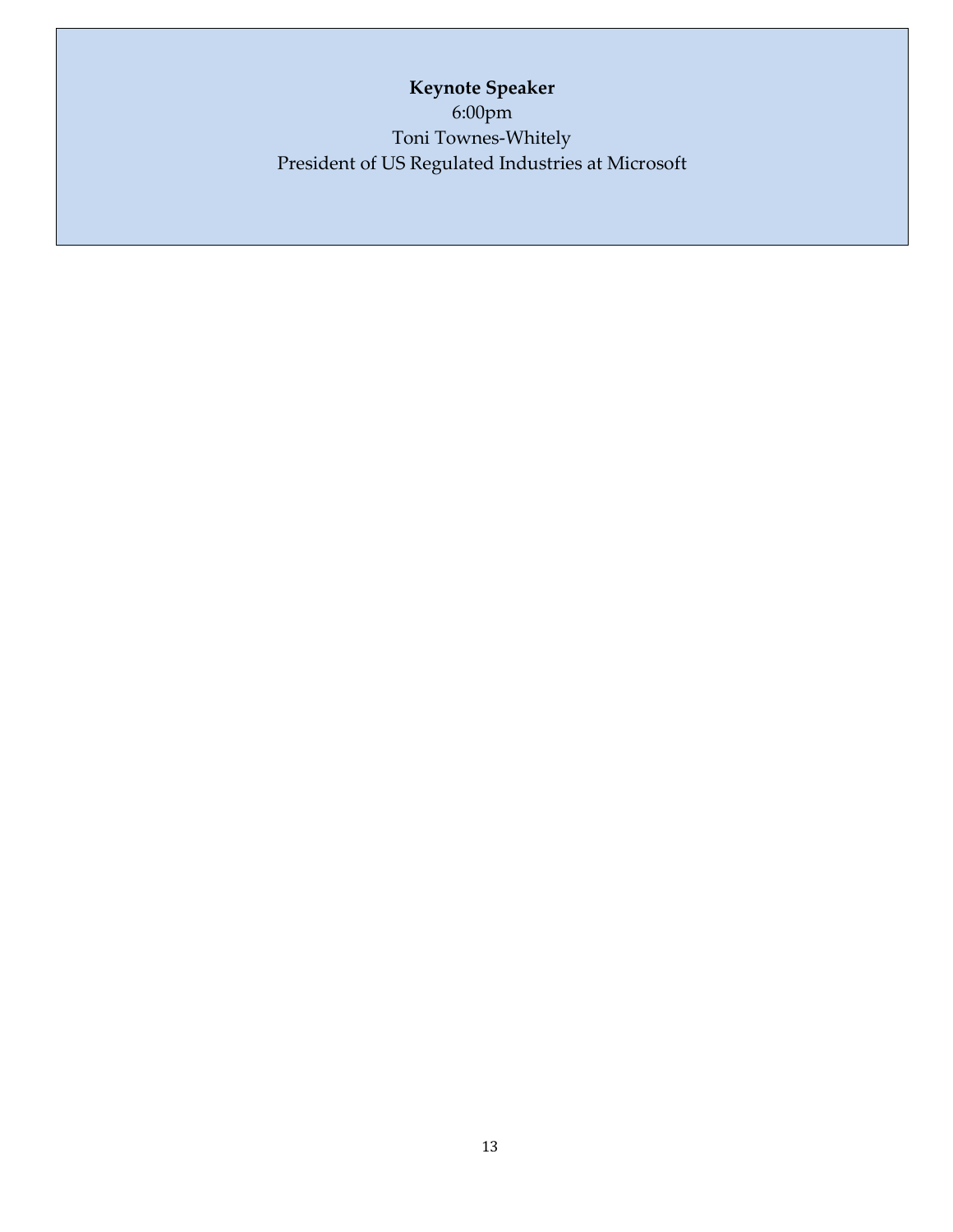**Keynote Speaker** 6:00pm Toni Townes-Whitely President of US Regulated Industries at Microsoft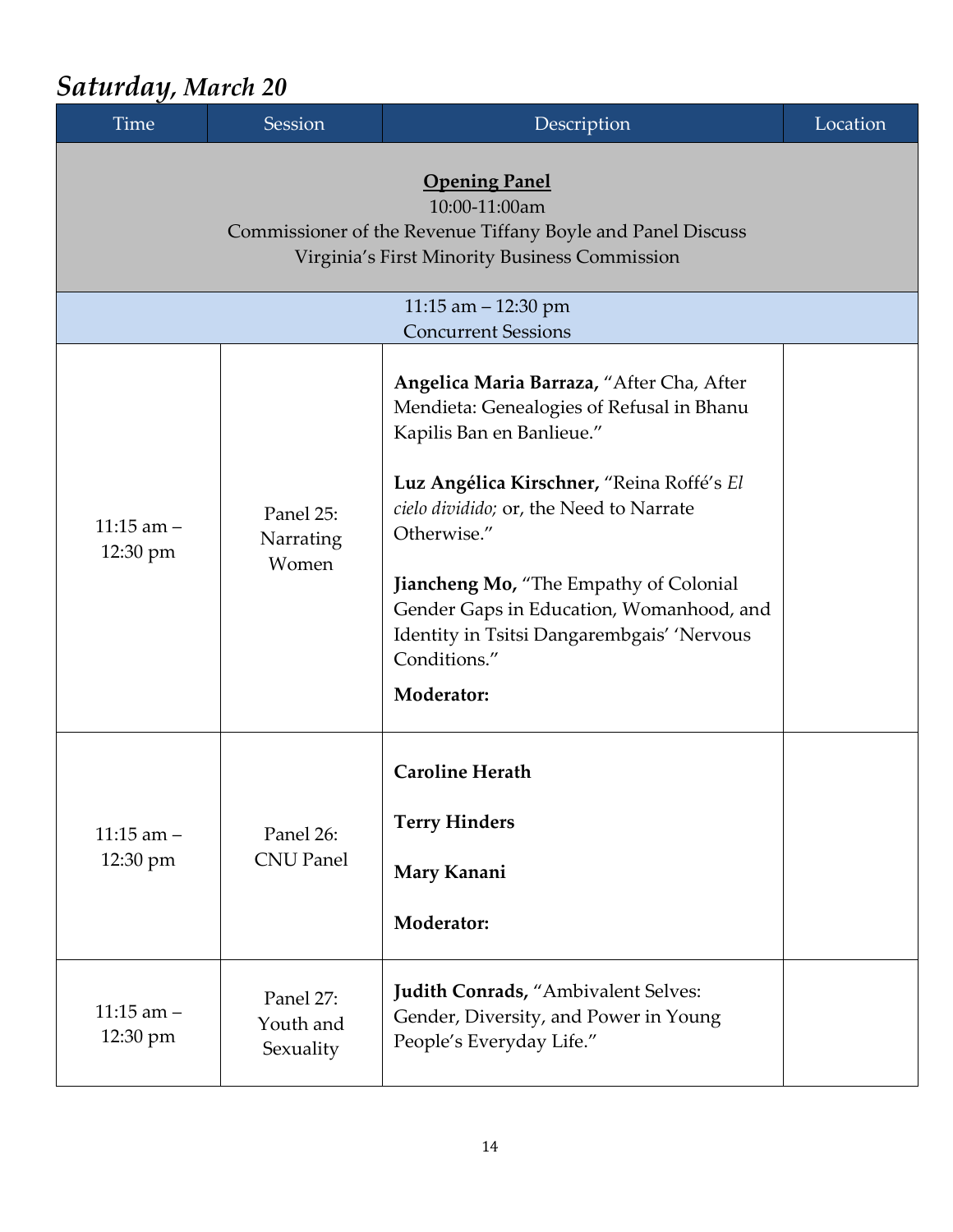### *Saturday, March 20*

| <b>Time</b>                                         | Session                             | Description                                                                                                                                                                                                                                                                                                                                                                                         | Location |  |  |  |
|-----------------------------------------------------|-------------------------------------|-----------------------------------------------------------------------------------------------------------------------------------------------------------------------------------------------------------------------------------------------------------------------------------------------------------------------------------------------------------------------------------------------------|----------|--|--|--|
|                                                     |                                     |                                                                                                                                                                                                                                                                                                                                                                                                     |          |  |  |  |
| 11:15 am $-$ 12:30 pm<br><b>Concurrent Sessions</b> |                                     |                                                                                                                                                                                                                                                                                                                                                                                                     |          |  |  |  |
| $11:15$ am $-$<br>12:30 pm                          | Panel 25:<br>Narrating<br>Women     | Angelica Maria Barraza, "After Cha, After<br>Mendieta: Genealogies of Refusal in Bhanu<br>Kapilis Ban en Banlieue."<br>Luz Angélica Kirschner, "Reina Roffé's El<br>cielo dividido; or, the Need to Narrate<br>Otherwise."<br><b>Jiancheng Mo, "The Empathy of Colonial</b><br>Gender Gaps in Education, Womanhood, and<br>Identity in Tsitsi Dangarembgais' 'Nervous<br>Conditions."<br>Moderator: |          |  |  |  |
| $11:15$ am $-$<br>12:30 pm                          | Panel 26:<br><b>CNU Panel</b>       | <b>Caroline Herath</b><br><b>Terry Hinders</b><br>Mary Kanani<br>Moderator:                                                                                                                                                                                                                                                                                                                         |          |  |  |  |
| $11:15$ am $-$<br>12:30 pm                          | Panel 27:<br>Youth and<br>Sexuality | <b>Judith Conrads, "Ambivalent Selves:</b><br>Gender, Diversity, and Power in Young<br>People's Everyday Life."                                                                                                                                                                                                                                                                                     |          |  |  |  |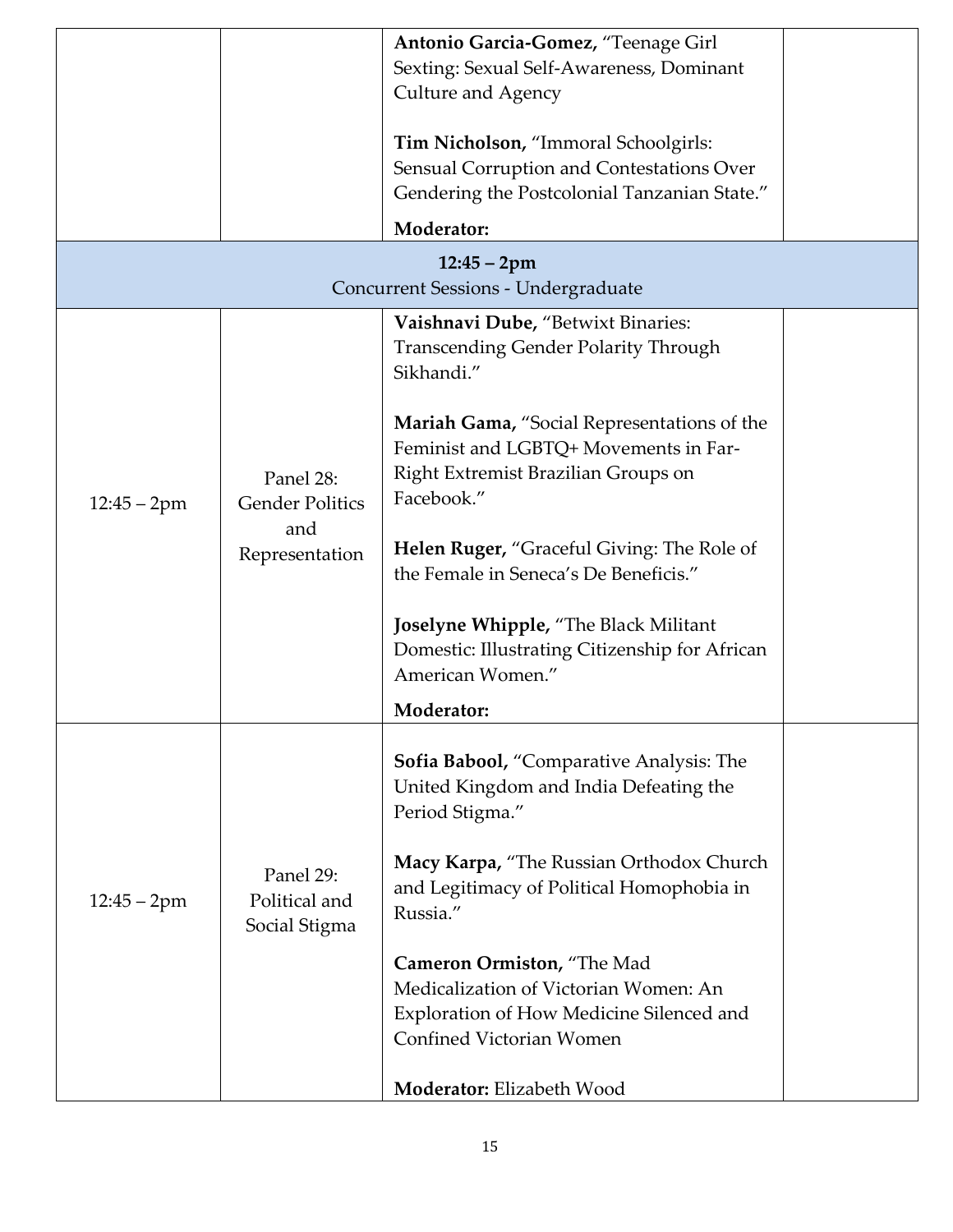|                                     |                                                              | Antonio Garcia-Gomez, "Teenage Girl<br>Sexting: Sexual Self-Awareness, Dominant<br><b>Culture and Agency</b><br>Tim Nicholson, "Immoral Schoolgirls:<br>Sensual Corruption and Contestations Over<br>Gendering the Postcolonial Tanzanian State."<br><b>Moderator:</b><br>$12:45 - 2pm$                                                                                                                                                                                        |  |  |  |  |
|-------------------------------------|--------------------------------------------------------------|--------------------------------------------------------------------------------------------------------------------------------------------------------------------------------------------------------------------------------------------------------------------------------------------------------------------------------------------------------------------------------------------------------------------------------------------------------------------------------|--|--|--|--|
| Concurrent Sessions - Undergraduate |                                                              |                                                                                                                                                                                                                                                                                                                                                                                                                                                                                |  |  |  |  |
| $12:45 - 2pm$                       | Panel 28:<br><b>Gender Politics</b><br>and<br>Representation | Vaishnavi Dube, "Betwixt Binaries:<br><b>Transcending Gender Polarity Through</b><br>Sikhandi."<br>Mariah Gama, "Social Representations of the<br>Feminist and LGBTQ+ Movements in Far-<br>Right Extremist Brazilian Groups on<br>Facebook."<br><b>Helen Ruger, "Graceful Giving: The Role of</b><br>the Female in Seneca's De Beneficis."<br>Joselyne Whipple, "The Black Militant<br>Domestic: Illustrating Citizenship for African<br>American Women."<br><b>Moderator:</b> |  |  |  |  |
| $12:45 - 2pm$                       | Panel 29:<br>Political and<br>Social Stigma                  | Sofia Babool, "Comparative Analysis: The<br>United Kingdom and India Defeating the<br>Period Stigma."<br>Macy Karpa, "The Russian Orthodox Church<br>and Legitimacy of Political Homophobia in<br>Russia."<br>Cameron Ormiston, "The Mad<br>Medicalization of Victorian Women: An<br>Exploration of How Medicine Silenced and<br>Confined Victorian Women<br>Moderator: Elizabeth Wood                                                                                         |  |  |  |  |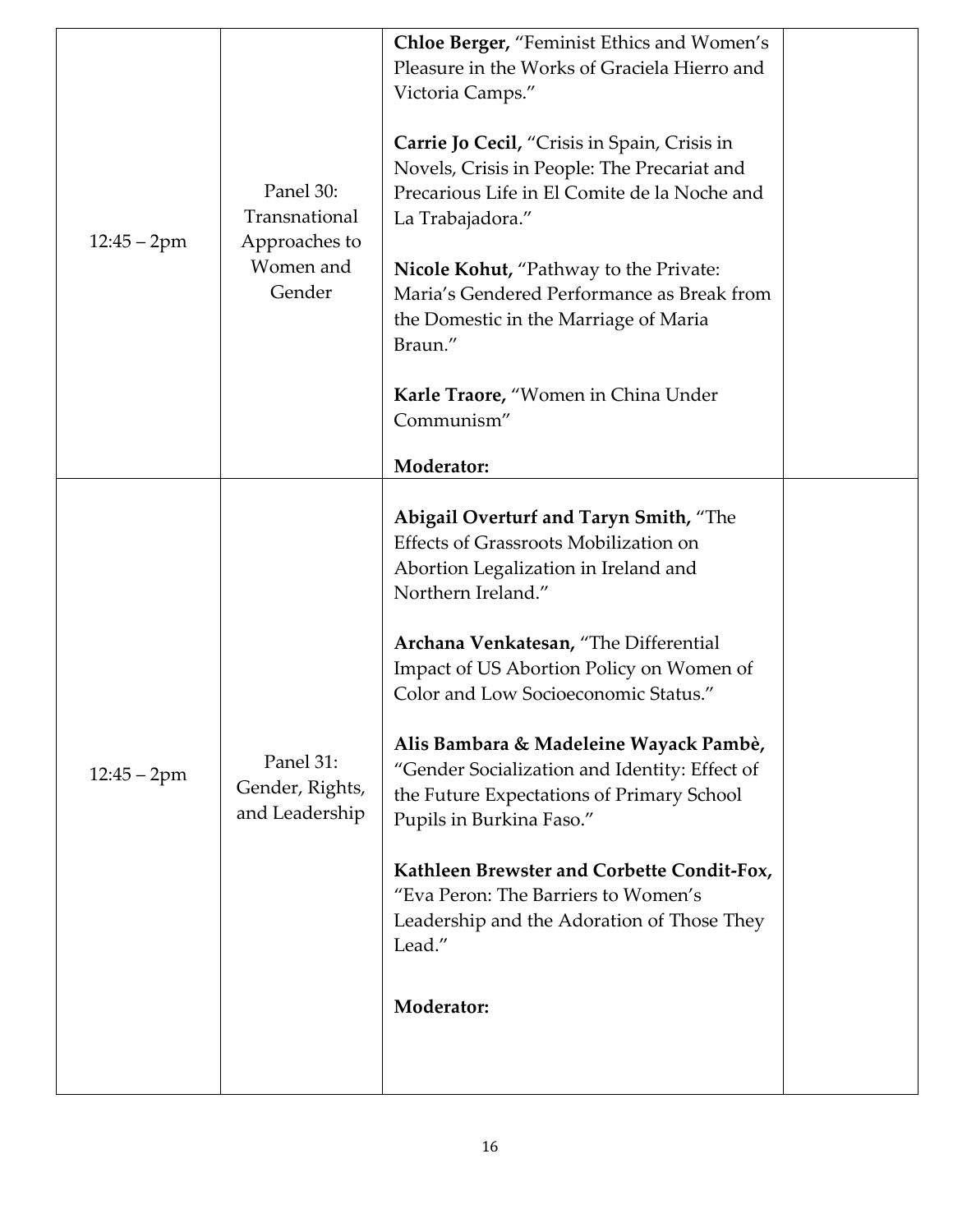| $12:45 - 2pm$ | Panel 30:<br>Transnational<br>Approaches to<br>Women and<br>Gender | Chloe Berger, "Feminist Ethics and Women's<br>Pleasure in the Works of Graciela Hierro and<br>Victoria Camps."<br>Carrie Jo Cecil, "Crisis in Spain, Crisis in<br>Novels, Crisis in People: The Precariat and<br>Precarious Life in El Comite de la Noche and<br>La Trabajadora."<br><b>Nicole Kohut, "Pathway to the Private:</b><br>Maria's Gendered Performance as Break from<br>the Domestic in the Marriage of Maria<br>Braun."<br>Karle Traore, "Women in China Under<br>Communism"<br>Moderator:                                                                                                   |  |
|---------------|--------------------------------------------------------------------|-----------------------------------------------------------------------------------------------------------------------------------------------------------------------------------------------------------------------------------------------------------------------------------------------------------------------------------------------------------------------------------------------------------------------------------------------------------------------------------------------------------------------------------------------------------------------------------------------------------|--|
| $12:45 - 2pm$ | Panel 31:<br>Gender, Rights,<br>and Leadership                     | Abigail Overturf and Taryn Smith, "The<br>Effects of Grassroots Mobilization on<br>Abortion Legalization in Ireland and<br>Northern Ireland."<br>Archana Venkatesan, "The Differential<br>Impact of US Abortion Policy on Women of<br>Color and Low Socioeconomic Status."<br>Alis Bambara & Madeleine Wayack Pambè,<br>"Gender Socialization and Identity: Effect of<br>the Future Expectations of Primary School<br>Pupils in Burkina Faso."<br>Kathleen Brewster and Corbette Condit-Fox,<br>"Eva Peron: The Barriers to Women's<br>Leadership and the Adoration of Those They<br>Lead."<br>Moderator: |  |